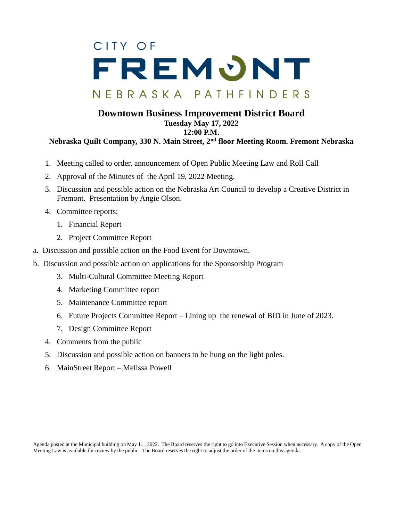## CITY OF FREMONT NEBRASKA PATHFINDERS

## **Downtown Business Improvement District Board Tuesday May 17, 2022 12:00 P.M.**

## **Nebraska Quilt Company, 330 N. Main Street, 2nd floor Meeting Room. Fremont Nebraska**

- 1. Meeting called to order, announcement of Open Public Meeting Law and Roll Call
- 2. Approval of the Minutes of the April 19, 2022 Meeting.
- 3. Discussion and possible action on the Nebraska Art Council to develop a Creative District in Fremont. Presentation by Angie Olson.
- 4. Committee reports:
	- 1. Financial Report
	- 2. Project Committee Report
- a. Discussion and possible action on the Food Event for Downtown.
- b. Discussion and possible action on applications for the Sponsorship Program
	- 3. Multi-Cultural Committee Meeting Report
	- 4. Marketing Committee report
	- 5. Maintenance Committee report
	- 6. Future Projects Committee Report Lining up the renewal of BID in June of 2023.
	- 7. Design Committee Report
	- 4. Comments from the public
	- 5. Discussion and possible action on banners to be hung on the light poles.
	- 6. MainStreet Report Melissa Powell